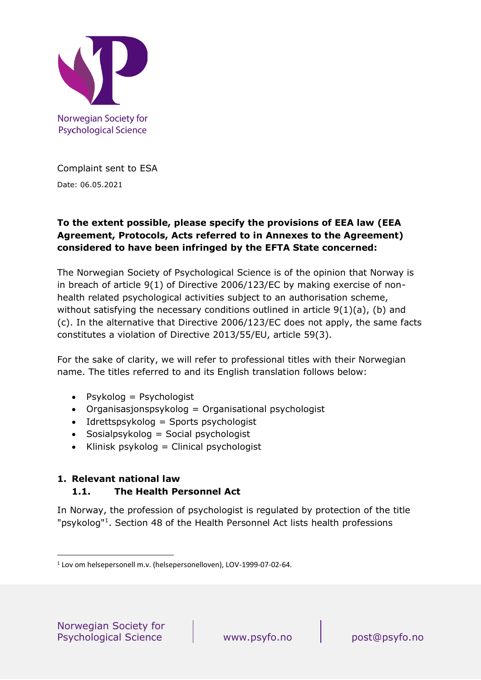

Norwegian Society for **Psychological Science** 

Complaint sent to ESA Date: 06.05.2021

### **To the extent possible, please specify the provisions of EEA law (EEA Agreement, Protocols, Acts referred to in Annexes to the Agreement) considered to have been infringed by the EFTA State concerned:**

The Norwegian Society of Psychological Science is of the opinion that Norway is in breach of article 9(1) of Directive 2006/123/EC by making exercise of nonhealth related psychological activities subject to an authorisation scheme, without satisfying the necessary conditions outlined in article 9(1)(a), (b) and (c). In the alternative that Directive 2006/123/EC does not apply, the same facts constitutes a violation of Directive 2013/55/EU, article 59(3).

For the sake of clarity, we will refer to professional titles with their Norwegian name. The titles referred to and its English translation follows below:

- Psykolog = Psychologist
- Organisasjonspsykolog = Organisational psychologist
- Idrettspsykolog = Sports psychologist
- Sosialpsykolog = Social psychologist
- Klinisk psykolog = Clinical psychologist

### **1. Relevant national law 1.1. The Health Personnel Act**

In Norway, the profession of psychologist is regulated by protection of the title "psykolog"<sup>1</sup>. Section 48 of the Health Personnel Act lists health professions

<sup>1</sup> Lov om helsepersonell m.v. (helsepersonelloven), LOV-1999-07-02-64.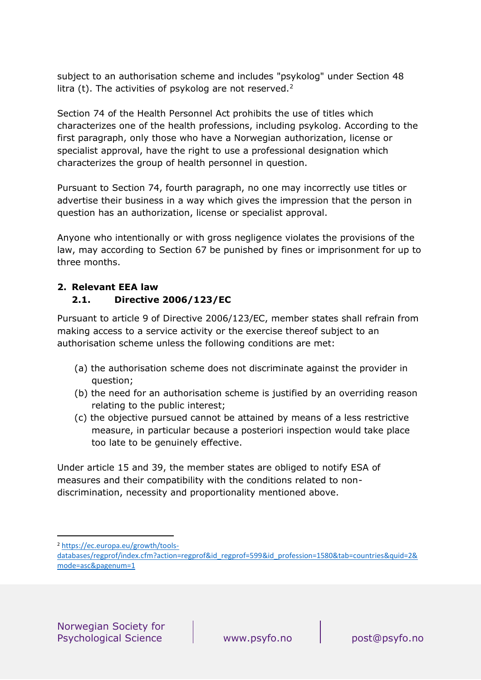subject to an authorisation scheme and includes "psykolog" under Section 48 litra (t). The activities of psykolog are not reserved.<sup>2</sup>

Section 74 of the Health Personnel Act prohibits the use of titles which characterizes one of the health professions, including psykolog. According to the first paragraph, only those who have a Norwegian authorization, license or specialist approval, have the right to use a professional designation which characterizes the group of health personnel in question.

Pursuant to Section 74, fourth paragraph, no one may incorrectly use titles or advertise their business in a way which gives the impression that the person in question has an authorization, license or specialist approval.

Anyone who intentionally or with gross negligence violates the provisions of the law, may according to Section 67 be punished by fines or imprisonment for up to three months.

## **2. Relevant EEA law 2.1. Directive 2006/123/EC**

Pursuant to article 9 of Directive 2006/123/EC, member states shall refrain from making access to a service activity or the exercise thereof subject to an authorisation scheme unless the following conditions are met:

- (a) the authorisation scheme does not discriminate against the provider in question;
- (b) the need for an authorisation scheme is justified by an overriding reason relating to the public interest;
- (c) the objective pursued cannot be attained by means of a less restrictive measure, in particular because a posteriori inspection would take place too late to be genuinely effective.

Under article 15 and 39, the member states are obliged to notify ESA of measures and their compatibility with the conditions related to nondiscrimination, necessity and proportionality mentioned above.

<sup>2</sup> [https://ec.europa.eu/growth/tools-](https://ec.europa.eu/growth/tools-databases/regprof/index.cfm?action=regprof&id_regprof=599&id_profession=1580&tab=countries&quid=2&mode=asc&pagenum=1)

[databases/regprof/index.cfm?action=regprof&id\\_regprof=599&id\\_profession=1580&tab=countries&quid=2&](https://ec.europa.eu/growth/tools-databases/regprof/index.cfm?action=regprof&id_regprof=599&id_profession=1580&tab=countries&quid=2&mode=asc&pagenum=1) [mode=asc&pagenum=1](https://ec.europa.eu/growth/tools-databases/regprof/index.cfm?action=regprof&id_regprof=599&id_profession=1580&tab=countries&quid=2&mode=asc&pagenum=1)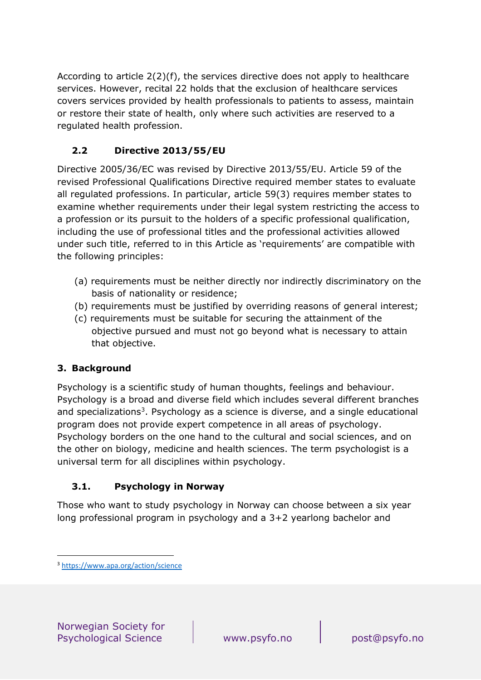According to article 2(2)(f), the services directive does not apply to healthcare services. However, recital 22 holds that the exclusion of healthcare services covers services provided by health professionals to patients to assess, maintain or restore their state of health, only where such activities are reserved to a regulated health profession.

# **2.2 Directive 2013/55/EU**

Directive 2005/36/EC was revised by Directive 2013/55/EU. Article 59 of the revised Professional Qualifications Directive required member states to evaluate all regulated professions. In particular, article 59(3) requires member states to examine whether requirements under their legal system restricting the access to a profession or its pursuit to the holders of a specific professional qualification, including the use of professional titles and the professional activities allowed under such title, referred to in this Article as 'requirements' are compatible with the following principles:

- (a) requirements must be neither directly nor indirectly discriminatory on the basis of nationality or residence;
- (b) requirements must be justified by overriding reasons of general interest;
- (c) requirements must be suitable for securing the attainment of the objective pursued and must not go beyond what is necessary to attain that objective.

### **3. Background**

Psychology is a scientific study of human thoughts, feelings and behaviour. Psychology is a broad and diverse field which includes several different branches and specializations<sup>3</sup>. Psychology as a science is diverse, and a single educational program does not provide expert competence in all areas of psychology. Psychology borders on the one hand to the cultural and social sciences, and on the other on biology, medicine and health sciences. The term psychologist is a universal term for all disciplines within psychology.

### **3.1. Psychology in Norway**

Those who want to study psychology in Norway can choose between a six year long professional program in psychology and a 3+2 yearlong bachelor and

<sup>3</sup> <https://www.apa.org/action/science>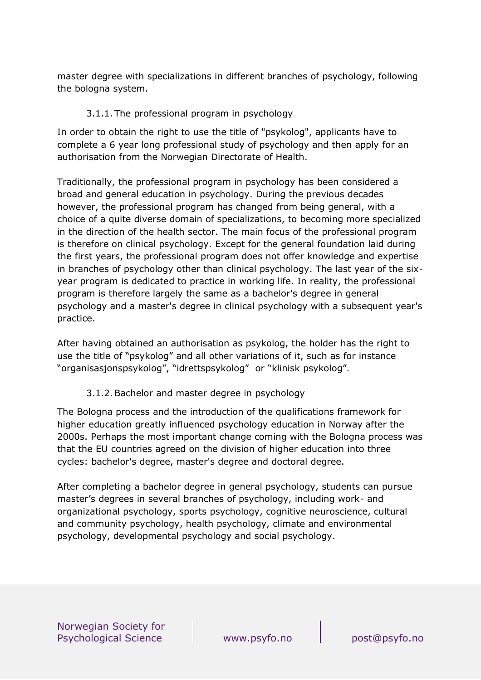master degree with specializations in different branches of psychology, following the bologna system.

#### 3.1.1. The professional program in psychology

In order to obtain the right to use the title of "psykolog", applicants have to complete a 6 year long professional study of psychology and then apply for an authorisation from the Norwegian Directorate of Health.

Traditionally, the professional program in psychology has been considered a broad and general education in psychology. During the previous decades however, the professional program has changed from being general, with a choice of a quite diverse domain of specializations, to becoming more specialized in the direction of the health sector. The main focus of the professional program is therefore on clinical psychology. Except for the general foundation laid during the first years, the professional program does not offer knowledge and expertise in branches of psychology other than clinical psychology. The last year of the sixyear program is dedicated to practice in working life. In reality, the professional program is therefore largely the same as a bachelor's degree in general psychology and a master's degree in clinical psychology with a subsequent year's practice.

After having obtained an authorisation as psykolog, the holder has the right to use the title of "psykolog" and all other variations of it, such as for instance "organisasjonspsykolog", "idrettspsykolog" or "klinisk psykolog".

3.1.2.Bachelor and master degree in psychology

The Bologna process and the introduction of the qualifications framework for higher education greatly influenced psychology education in Norway after the 2000s. Perhaps the most important change coming with the Bologna process was that the EU countries agreed on the division of higher education into three cycles: bachelor's degree, master's degree and doctoral degree.

After completing a bachelor degree in general psychology, students can pursue master's degrees in several branches of psychology, including work- and organizational psychology, sports psychology, cognitive neuroscience, cultural and community psychology, health psychology, climate and environmental psychology, developmental psychology and social psychology.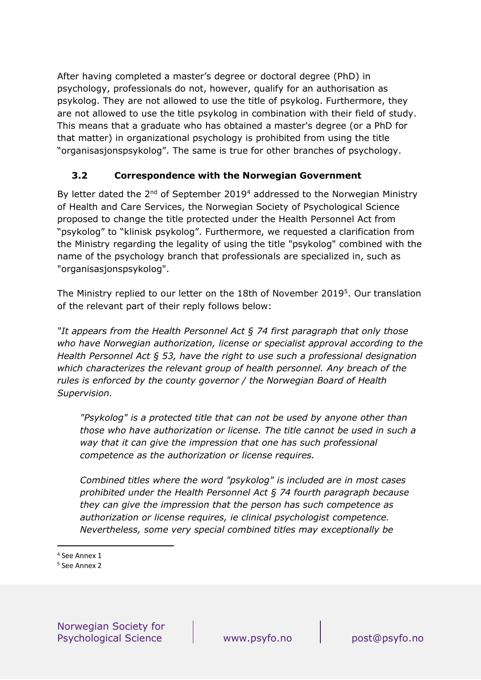After having completed a master's degree or doctoral degree (PhD) in psychology, professionals do not, however, qualify for an authorisation as psykolog. They are not allowed to use the title of psykolog. Furthermore, they are not allowed to use the title psykolog in combination with their field of study. This means that a graduate who has obtained a master's degree (or a PhD for that matter) in organizational psychology is prohibited from using the title "organisasjonspsykolog". The same is true for other branches of psychology.

### **3.2 Correspondence with the Norwegian Government**

By letter dated the  $2^{nd}$  of September 2019<sup>4</sup> addressed to the Norwegian Ministry of Health and Care Services, the Norwegian Society of Psychological Science proposed to change the title protected under the Health Personnel Act from "psykolog" to "klinisk psykolog". Furthermore, we requested a clarification from the Ministry regarding the legality of using the title "psykolog" combined with the name of the psychology branch that professionals are specialized in, such as "organisasjonspsykolog".

The Ministry replied to our letter on the 18th of November 2019<sup>5</sup>. Our translation of the relevant part of their reply follows below:

*"It appears from the Health Personnel Act § 74 first paragraph that only those who have Norwegian authorization, license or specialist approval according to the Health Personnel Act § 53, have the right to use such a professional designation which characterizes the relevant group of health personnel. Any breach of the rules is enforced by the county governor / the Norwegian Board of Health Supervision.*

*"Psykolog" is a protected title that can not be used by anyone other than those who have authorization or license. The title cannot be used in such a way that it can give the impression that one has such professional competence as the authorization or license requires.*

*Combined titles where the word "psykolog" is included are in most cases prohibited under the Health Personnel Act § 74 fourth paragraph because they can give the impression that the person has such competence as authorization or license requires, ie clinical psychologist competence. Nevertheless, some very special combined titles may exceptionally be* 

<sup>4</sup> See Annex 1

<sup>5</sup> See Annex 2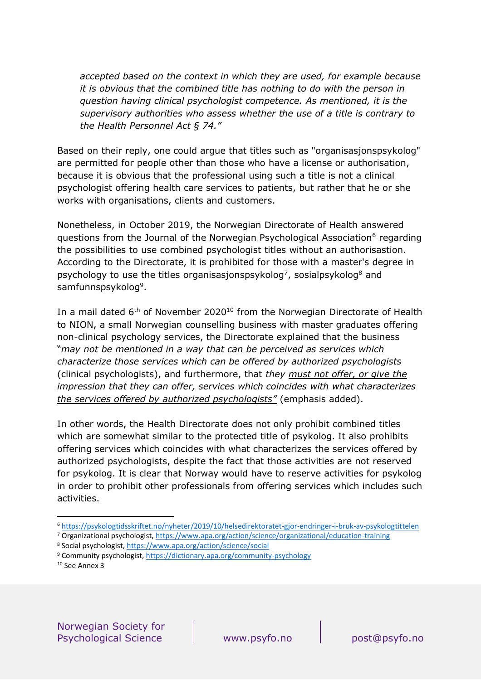*accepted based on the context in which they are used, for example because it is obvious that the combined title has nothing to do with the person in question having clinical psychologist competence. As mentioned, it is the supervisory authorities who assess whether the use of a title is contrary to the Health Personnel Act § 74."*

Based on their reply, one could argue that titles such as "organisasjonspsykolog" are permitted for people other than those who have a license or authorisation, because it is obvious that the professional using such a title is not a clinical psychologist offering health care services to patients, but rather that he or she works with organisations, clients and customers.

Nonetheless, in October 2019, the Norwegian Directorate of Health answered questions from the Journal of the Norwegian Psychological Association<sup>6</sup> regarding the possibilities to use combined psychologist titles without an authorisastion. According to the Directorate, it is prohibited for those with a master's degree in psychology to use the titles organisasjonspsykolog<sup>7</sup>, sosialpsykolog<sup>8</sup> and samfunnspsykolog<sup>9</sup>.

In a mail dated 6<sup>th</sup> of November 2020<sup>10</sup> from the Norwegian Directorate of Health to NION, a small Norwegian counselling business with master graduates offering non-clinical psychology services, the Directorate explained that the business "*may not be mentioned in a way that can be perceived as services which characterize those services which can be offered by authorized psychologists* (clinical psychologists), and furthermore, that *they must not offer, or give the impression that they can offer, services which coincides with what characterizes the services offered by authorized psychologists"* (emphasis added).

In other words, the Health Directorate does not only prohibit combined titles which are somewhat similar to the protected title of psykolog. It also prohibits offering services which coincides with what characterizes the services offered by authorized psychologists, despite the fact that those activities are not reserved for psykolog. It is clear that Norway would have to reserve activities for psykolog in order to prohibit other professionals from offering services which includes such activities.

<sup>6</sup> <https://psykologtidsskriftet.no/nyheter/2019/10/helsedirektoratet-gjor-endringer-i-bruk-av-psykologtittelen>

<sup>7</sup> Organizational psychologist,<https://www.apa.org/action/science/organizational/education-training>

<sup>8</sup> Social psychologist,<https://www.apa.org/action/science/social>

<sup>9</sup> Community psychologist,<https://dictionary.apa.org/community-psychology>

<sup>10</sup> See Annex 3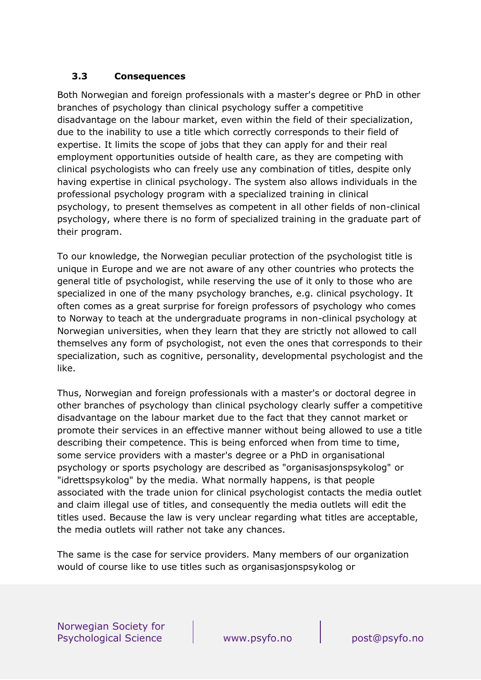#### **3.3 Consequences**

Both Norwegian and foreign professionals with a master's degree or PhD in other branches of psychology than clinical psychology suffer a competitive disadvantage on the labour market, even within the field of their specialization, due to the inability to use a title which correctly corresponds to their field of expertise. It limits the scope of jobs that they can apply for and their real employment opportunities outside of health care, as they are competing with clinical psychologists who can freely use any combination of titles, despite only having expertise in clinical psychology. The system also allows individuals in the professional psychology program with a specialized training in clinical psychology, to present themselves as competent in all other fields of non-clinical psychology, where there is no form of specialized training in the graduate part of their program.

To our knowledge, the Norwegian peculiar protection of the psychologist title is unique in Europe and we are not aware of any other countries who protects the general title of psychologist, while reserving the use of it only to those who are specialized in one of the many psychology branches, e.g. clinical psychology. It often comes as a great surprise for foreign professors of psychology who comes to Norway to teach at the undergraduate programs in non-clinical psychology at Norwegian universities, when they learn that they are strictly not allowed to call themselves any form of psychologist, not even the ones that corresponds to their specialization, such as cognitive, personality, developmental psychologist and the like.

Thus, Norwegian and foreign professionals with a master's or doctoral degree in other branches of psychology than clinical psychology clearly suffer a competitive disadvantage on the labour market due to the fact that they cannot market or promote their services in an effective manner without being allowed to use a title describing their competence. This is being enforced when from time to time, some service providers with a master's degree or a PhD in organisational psychology or sports psychology are described as "organisasjonspsykolog" or "idrettspsykolog" by the media. What normally happens, is that people associated with the trade union for clinical psychologist contacts the media outlet and claim illegal use of titles, and consequently the media outlets will edit the titles used. Because the law is very unclear regarding what titles are acceptable, the media outlets will rather not take any chances.

The same is the case for service providers. Many members of our organization would of course like to use titles such as organisasjonspsykolog or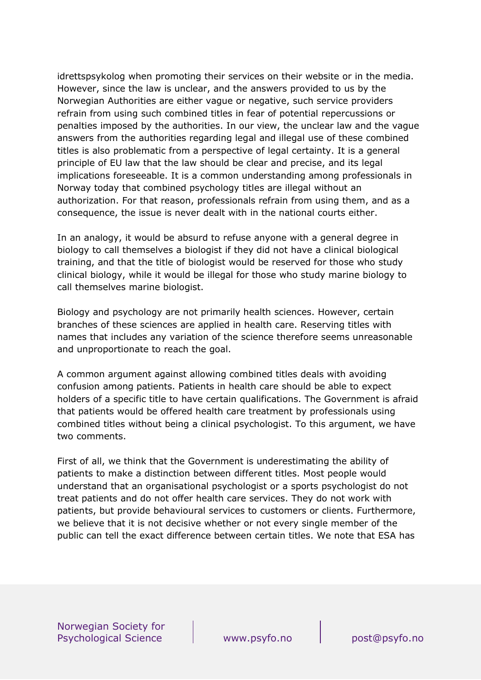idrettspsykolog when promoting their services on their website or in the media. However, since the law is unclear, and the answers provided to us by the Norwegian Authorities are either vague or negative, such service providers refrain from using such combined titles in fear of potential repercussions or penalties imposed by the authorities. In our view, the unclear law and the vague answers from the authorities regarding legal and illegal use of these combined titles is also problematic from a perspective of legal certainty. It is a general principle of EU law that the law should be clear and precise, and its legal implications foreseeable. It is a common understanding among professionals in Norway today that combined psychology titles are illegal without an authorization. For that reason, professionals refrain from using them, and as a consequence, the issue is never dealt with in the national courts either.

In an analogy, it would be absurd to refuse anyone with a general degree in biology to call themselves a biologist if they did not have a clinical biological training, and that the title of biologist would be reserved for those who study clinical biology, while it would be illegal for those who study marine biology to call themselves marine biologist.

Biology and psychology are not primarily health sciences. However, certain branches of these sciences are applied in health care. Reserving titles with names that includes any variation of the science therefore seems unreasonable and unproportionate to reach the goal.

A common argument against allowing combined titles deals with avoiding confusion among patients. Patients in health care should be able to expect holders of a specific title to have certain qualifications. The Government is afraid that patients would be offered health care treatment by professionals using combined titles without being a clinical psychologist. To this argument, we have two comments.

First of all, we think that the Government is underestimating the ability of patients to make a distinction between different titles. Most people would understand that an organisational psychologist or a sports psychologist do not treat patients and do not offer health care services. They do not work with patients, but provide behavioural services to customers or clients. Furthermore, we believe that it is not decisive whether or not every single member of the public can tell the exact difference between certain titles. We note that ESA has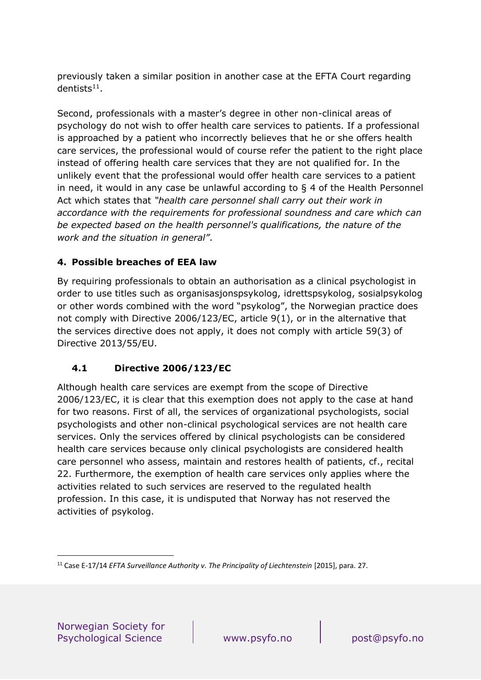previously taken a similar position in another case at the EFTA Court regarding  $d$ entists<sup>11</sup>.

Second, professionals with a master's degree in other non-clinical areas of psychology do not wish to offer health care services to patients. If a professional is approached by a patient who incorrectly believes that he or she offers health care services, the professional would of course refer the patient to the right place instead of offering health care services that they are not qualified for. In the unlikely event that the professional would offer health care services to a patient in need, it would in any case be unlawful according to § 4 of the Health Personnel Act which states that *"health care personnel shall carry out their work in accordance with the requirements for professional soundness and care which can be expected based on the health personnel's qualifications, the nature of the work and the situation in general"*.

### **4. Possible breaches of EEA law**

By requiring professionals to obtain an authorisation as a clinical psychologist in order to use titles such as organisasjonspsykolog, idrettspsykolog, sosialpsykolog or other words combined with the word "psykolog", the Norwegian practice does not comply with Directive 2006/123/EC, article 9(1), or in the alternative that the services directive does not apply, it does not comply with article 59(3) of Directive 2013/55/EU.

#### **4.1 Directive 2006/123/EC**

Although health care services are exempt from the scope of Directive 2006/123/EC, it is clear that this exemption does not apply to the case at hand for two reasons. First of all, the services of organizational psychologists, social psychologists and other non-clinical psychological services are not health care services. Only the services offered by clinical psychologists can be considered health care services because only clinical psychologists are considered health care personnel who assess, maintain and restores health of patients, cf., recital 22. Furthermore, the exemption of health care services only applies where the activities related to such services are reserved to the regulated health profession. In this case, it is undisputed that Norway has not reserved the activities of psykolog.

<sup>&</sup>lt;sup>11</sup> Case E-17/14 *EFTA Surveillance Authority v. The Principality of Liechtenstein* [2015], para. 27.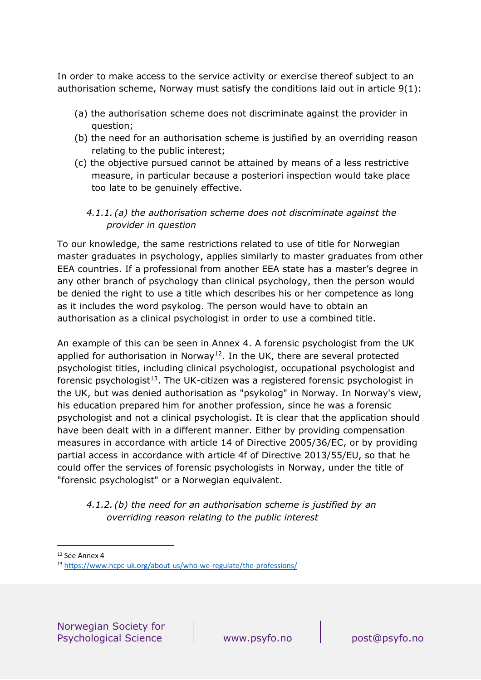In order to make access to the service activity or exercise thereof subject to an authorisation scheme, Norway must satisfy the conditions laid out in article 9(1):

- (a) the authorisation scheme does not discriminate against the provider in question;
- (b) the need for an authorisation scheme is justified by an overriding reason relating to the public interest;
- (c) the objective pursued cannot be attained by means of a less restrictive measure, in particular because a posteriori inspection would take place too late to be genuinely effective.

#### *4.1.1. (a) the authorisation scheme does not discriminate against the provider in question*

To our knowledge, the same restrictions related to use of title for Norwegian master graduates in psychology, applies similarly to master graduates from other EEA countries. If a professional from another EEA state has a master's degree in any other branch of psychology than clinical psychology, then the person would be denied the right to use a title which describes his or her competence as long as it includes the word psykolog. The person would have to obtain an authorisation as a clinical psychologist in order to use a combined title.

An example of this can be seen in Annex 4. A forensic psychologist from the UK applied for authorisation in Norway<sup>12</sup>. In the UK, there are several protected psychologist titles, including clinical psychologist, occupational psychologist and forensic psychologist<sup>13</sup>. The UK-citizen was a registered forensic psychologist in the UK, but was denied authorisation as "psykolog" in Norway. In Norway's view, his education prepared him for another profession, since he was a forensic psychologist and not a clinical psychologist. It is clear that the application should have been dealt with in a different manner. Either by providing compensation measures in accordance with article 14 of Directive 2005/36/EC, or by providing partial access in accordance with article 4f of Directive 2013/55/EU, so that he could offer the services of forensic psychologists in Norway, under the title of "forensic psychologist" or a Norwegian equivalent.

#### *4.1.2. (b) the need for an authorisation scheme is justified by an overriding reason relating to the public interest*

<sup>12</sup> See Annex 4

<sup>13</sup> <https://www.hcpc-uk.org/about-us/who-we-regulate/the-professions/>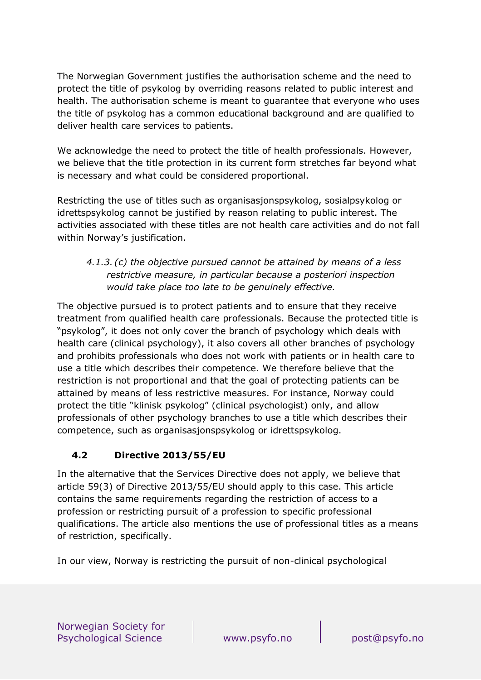The Norwegian Government justifies the authorisation scheme and the need to protect the title of psykolog by overriding reasons related to public interest and health. The authorisation scheme is meant to guarantee that everyone who uses the title of psykolog has a common educational background and are qualified to deliver health care services to patients.

We acknowledge the need to protect the title of health professionals. However, we believe that the title protection in its current form stretches far beyond what is necessary and what could be considered proportional.

Restricting the use of titles such as organisasjonspsykolog, sosialpsykolog or idrettspsykolog cannot be justified by reason relating to public interest. The activities associated with these titles are not health care activities and do not fall within Norway's justification.

### *4.1.3. (c) the objective pursued cannot be attained by means of a less restrictive measure, in particular because a posteriori inspection would take place too late to be genuinely effective.*

The objective pursued is to protect patients and to ensure that they receive treatment from qualified health care professionals. Because the protected title is "psykolog", it does not only cover the branch of psychology which deals with health care (clinical psychology), it also covers all other branches of psychology and prohibits professionals who does not work with patients or in health care to use a title which describes their competence. We therefore believe that the restriction is not proportional and that the goal of protecting patients can be attained by means of less restrictive measures. For instance, Norway could protect the title "klinisk psykolog" (clinical psychologist) only, and allow professionals of other psychology branches to use a title which describes their competence, such as organisasjonspsykolog or idrettspsykolog.

### **4.2 Directive 2013/55/EU**

In the alternative that the Services Directive does not apply, we believe that article 59(3) of Directive 2013/55/EU should apply to this case. This article contains the same requirements regarding the restriction of access to a profession or restricting pursuit of a profession to specific professional qualifications. The article also mentions the use of professional titles as a means of restriction, specifically.

In our view, Norway is restricting the pursuit of non-clinical psychological